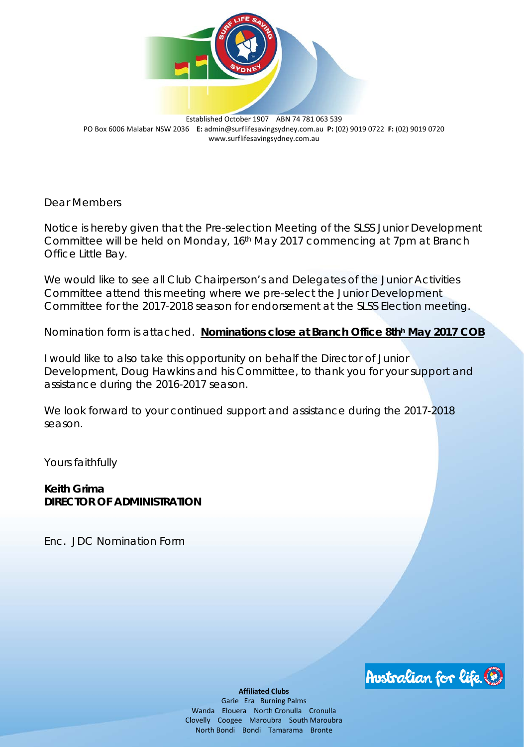

Established October 1907 ABN 74 781 063 539 PO Box 6006 Malabar NSW 2036 **E:** [admin@surflifesavingsydney.com.au](mailto:admin@surflifesavingsydney.com.au) **P:** (02) 9019 0722 **F:** (02) 9019 0720 www.surflifesavingsydney.com.au

Dear Members

Notice is hereby given that the Pre-s*election Meeting of the SLSS Junior Development Committee will be held on Monday, 16th May 2017 commencing at 7pm at Branch Office Little Bay.*

We would like to see all Club Chairperson's and Delegates of the Junior Activities Committee attend this meeting where we pre-select the Junior Development Committee for the 2017-2018 season for endorsement at the SLSS Election meeting.

Nomination form is attached. **Nominations close at Branch Office 8thh May 2017 COB**

I would like to also take this opportunity on behalf the Director of Junior Development, Doug Hawkins and his Committee, to thank you for your support and assistance during the 2016-2017 season.

We look forward to your continued support and assistance during the 2017-2018 season.

Yours faithfully

**Keith Grima DIRECTOR OF ADMINISTRATION**

Enc. JDC Nomination Form



**Affiliated Clubs**

Garie Era Burning Palms Wanda Elouera North Cronulla Cronulla Clovelly Coogee Maroubra South Maroubra North Bondi Bondi Tamarama Bronte